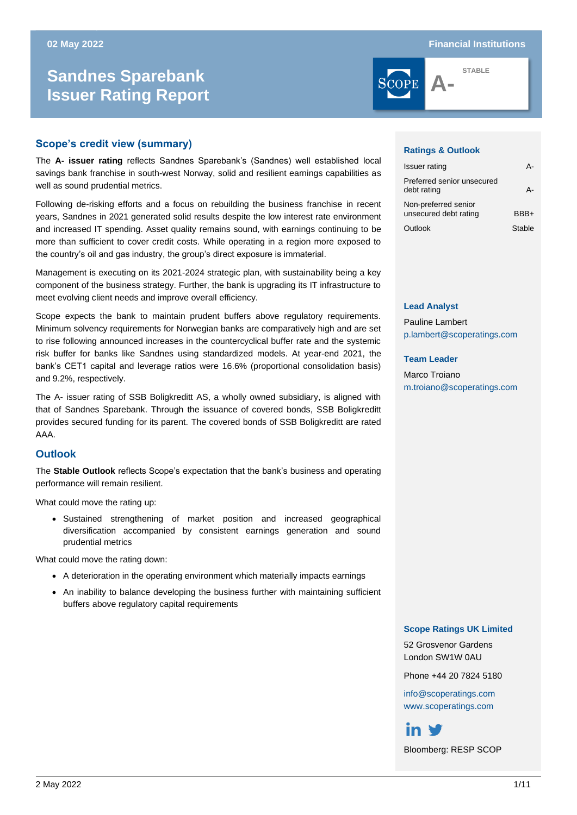### **02 May 2022 Financial Institutions**

# **Sandnes Sparebank Issuer Rating Report**



**STABLE**

# **Scope's credit view (summary)**

The **A- issuer rating** reflects Sandnes Sparebank's (Sandnes) well established local savings bank franchise in south-west Norway, solid and resilient earnings capabilities as well as sound prudential metrics.

Following de-risking efforts and a focus on rebuilding the business franchise in recent years, Sandnes in 2021 generated solid results despite the low interest rate environment and increased IT spending. Asset quality remains sound, with earnings continuing to be more than sufficient to cover credit costs. While operating in a region more exposed to the country's oil and gas industry, the group's direct exposure is immaterial.

Management is executing on its 2021-2024 strategic plan, with sustainability being a key component of the business strategy. Further, the bank is upgrading its IT infrastructure to meet evolving client needs and improve overall efficiency.

Scope expects the bank to maintain prudent buffers above regulatory requirements. Minimum solvency requirements for Norwegian banks are comparatively high and are set to rise following announced increases in the countercyclical buffer rate and the systemic risk buffer for banks like Sandnes using standardized models. At year-end 2021, the bank's CET1 capital and leverage ratios were 16.6% (proportional consolidation basis) and 9.2%, respectively.

The A- issuer rating of SSB Boligkreditt AS, a wholly owned subsidiary, is aligned with that of Sandnes Sparebank. Through the issuance of covered bonds, SSB Boligkreditt provides secured funding for its parent. The covered bonds of SSB Boligkreditt are rated AAA.

## **Outlook**

The **Stable Outlook** reflects Scope's expectation that the bank's business and operating performance will remain resilient.

What could move the rating up:

• Sustained strengthening of market position and increased geographical diversification accompanied by consistent earnings generation and sound prudential metrics

What could move the rating down:

- A deterioration in the operating environment which materially impacts earnings
- An inability to balance developing the business further with maintaining sufficient buffers above regulatory capital requirements

### **Ratings & Outlook**

| <b>Issuer rating</b>                          |        |
|-----------------------------------------------|--------|
| Preferred senior unsecured<br>debt rating     |        |
| Non-preferred senior<br>unsecured debt rating | RRR+   |
| Outlook                                       | Stable |

#### **Lead Analyst**

Pauline Lambert [p.lambert@scoperatings.com](mailto:p.lambert@scoperatings.com)

#### **Team Leader**

Marco Troiano [m.troiano@scoperatings.com](mailto:m.troiano@scoperatings.com)

#### **Scope Ratings UK Limited**

52 Grosvenor Gardens London SW1W 0AU

Phone +44 20 7824 5180

[info@scoperatings.com](mailto:info@scoperatings.com) [www.scoperatings.com](https://www.scoperatings.com/#home)

in V

Bloomberg: RESP SCOP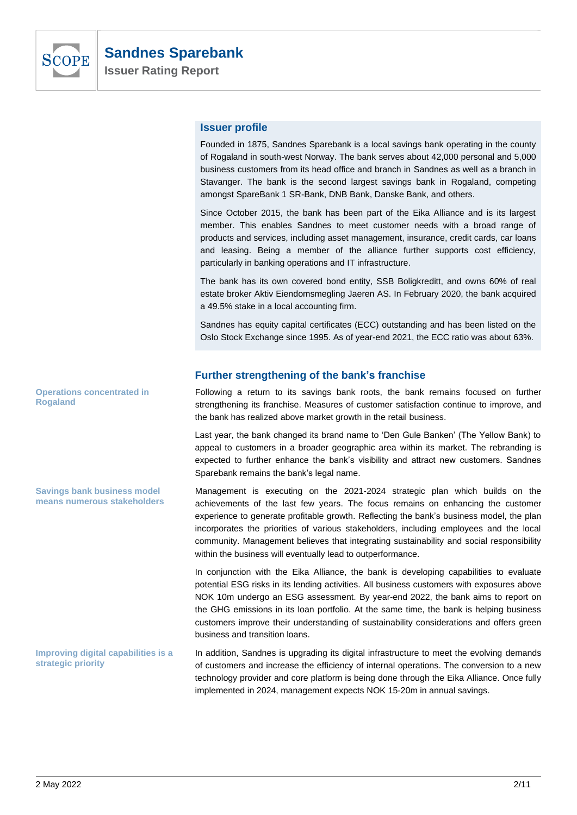

# **Issuer profile**

Founded in 1875, Sandnes Sparebank is a local savings bank operating in the county of Rogaland in south-west Norway. The bank serves about 42,000 personal and 5,000 business customers from its head office and branch in Sandnes as well as a branch in Stavanger. The bank is the second largest savings bank in Rogaland, competing amongst SpareBank 1 SR-Bank, DNB Bank, Danske Bank, and others.

Since October 2015, the bank has been part of the Eika Alliance and is its largest member. This enables Sandnes to meet customer needs with a broad range of products and services, including asset management, insurance, credit cards, car loans and leasing. Being a member of the alliance further supports cost efficiency, particularly in banking operations and IT infrastructure.

The bank has its own covered bond entity, SSB Boligkreditt, and owns 60% of real estate broker Aktiv Eiendomsmegling Jaeren AS. In February 2020, the bank acquired a 49.5% stake in a local accounting firm.

Sandnes has equity capital certificates (ECC) outstanding and has been listed on the Oslo Stock Exchange since 1995. As of year-end 2021, the ECC ratio was about 63%.

# **Further strengthening of the bank's franchise**

Following a return to its savings bank roots, the bank remains focused on further strengthening its franchise. Measures of customer satisfaction continue to improve, and the bank has realized above market growth in the retail business.

Last year, the bank changed its brand name to 'Den Gule Banken' (The Yellow Bank) to appeal to customers in a broader geographic area within its market. The rebranding is expected to further enhance the bank's visibility and attract new customers. Sandnes Sparebank remains the bank's legal name.

Management is executing on the 2021-2024 strategic plan which builds on the achievements of the last few years. The focus remains on enhancing the customer experience to generate profitable growth. Reflecting the bank's business model, the plan incorporates the priorities of various stakeholders, including employees and the local community. Management believes that integrating sustainability and social responsibility within the business will eventually lead to outperformance.

In conjunction with the Eika Alliance, the bank is developing capabilities to evaluate potential ESG risks in its lending activities. All business customers with exposures above NOK 10m undergo an ESG assessment. By year-end 2022, the bank aims to report on the GHG emissions in its loan portfolio. At the same time, the bank is helping business customers improve their understanding of sustainability considerations and offers green business and transition loans.

In addition, Sandnes is upgrading its digital infrastructure to meet the evolving demands of customers and increase the efficiency of internal operations. The conversion to a new technology provider and core platform is being done through the Eika Alliance. Once fully implemented in 2024, management expects NOK 15-20m in annual savings. **Improving digital capabilities is a strategic priority**

**Operations concentrated in Rogaland**

**Savings bank business model means numerous stakeholders**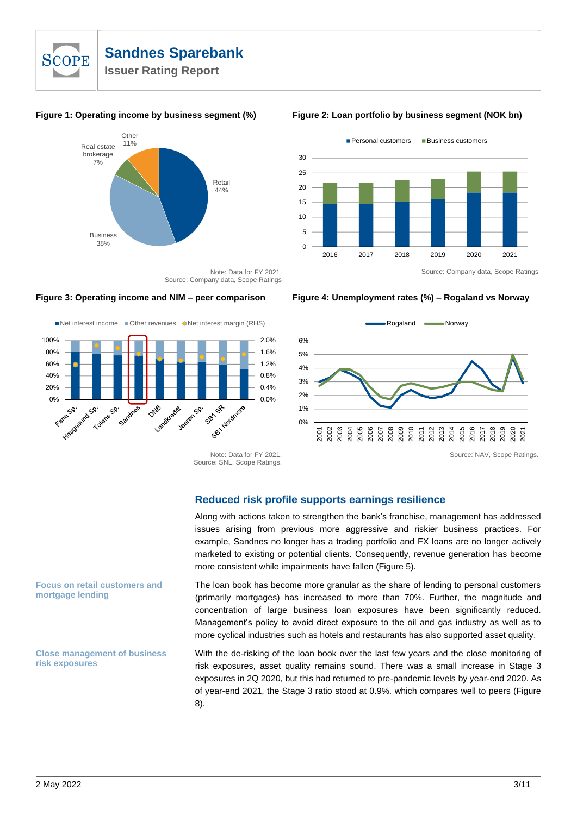



**Figure 1: Operating income by business segment (%) Figure 2: Loan portfolio by business segment (NOK bn)**



Note: Data for FY 2021. Source: Company data, Scope Ratings

### **Figure 3: Operating income and NIM – peer comparison Figure 4: Unemployment rates (%) – Rogaland vs Norway**



Net interest income Cther revenues ONet interest margin (RHS)



Note: Data for FY 2021. Source: SNL, Scope Ratings.

**Reduced risk profile supports earnings resilience**

Along with actions taken to strengthen the bank's franchise, management has addressed issues arising from previous more aggressive and riskier business practices. For example, Sandnes no longer has a trading portfolio and FX loans are no longer actively marketed to existing or potential clients. Consequently, revenue generation has become more consistent while impairments have fallen (Figure 5).

The loan book has become more granular as the share of lending to personal customers (primarily mortgages) has increased to more than 70%. Further, the magnitude and concentration of large business loan exposures have been significantly reduced. Management's policy to avoid direct exposure to the oil and gas industry as well as to more cyclical industries such as hotels and restaurants has also supported asset quality.

With the de-risking of the loan book over the last few years and the close monitoring of risk exposures, asset quality remains sound. There was a small increase in Stage 3 exposures in 2Q 2020, but this had returned to pre-pandemic levels by year-end 2020. As of year-end 2021, the Stage 3 ratio stood at 0.9%. which compares well to peers (Figure 8).

## **Focus on retail customers and mortgage lending**

**Close management of business risk exposures**

Source: NAV, Scope Ratings.

2020 2021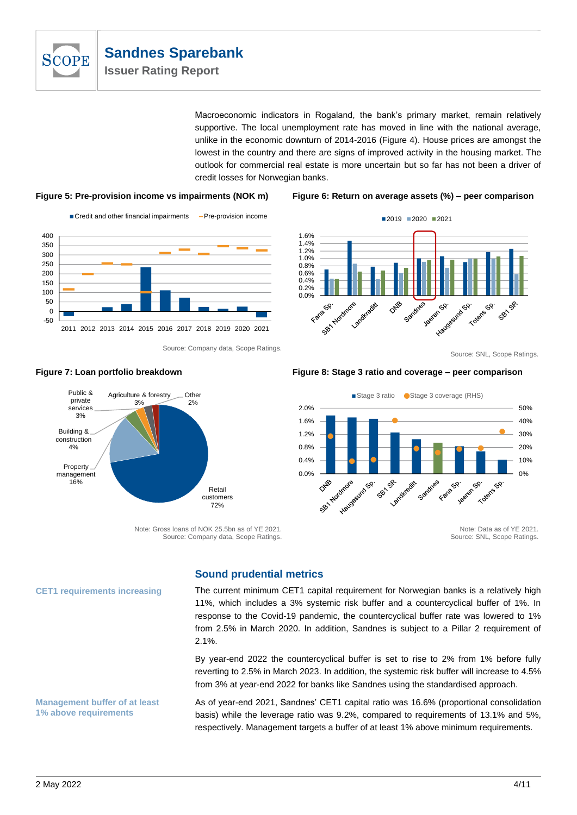

Macroeconomic indicators in Rogaland, the bank's primary market, remain relatively supportive. The local unemployment rate has moved in line with the national average, unlike in the economic downturn of 2014-2016 (Figure 4). House prices are amongst the lowest in the country and there are signs of improved activity in the housing market. The outlook for commercial real estate is more uncertain but so far has not been a driver of credit losses for Norwegian banks.

### **Figure 5: Pre-provision income vs impairments (NOK m) Figure 6: Return on average assets (%) – peer comparison**



Source: Company data, Scope Ratings.



#### Source: SNL, Scope Ratings.



#### **Figure 7: Loan portfolio breakdown Figure 8: Stage 3 ratio and coverage – peer comparison**

Stage 3 ratio Stage 3 coverage (RHS)



Note: Data as of YE 2021. Source: SNL, Scope Ratings.

# **Sound prudential metrics**

Note: Gross loans of NOK 25.5bn as of YE 2021. Source: Company data, Scope Ratings.

# The current minimum CET1 capital requirement for Norwegian banks is a relatively high 11%, which includes a 3% systemic risk buffer and a countercyclical buffer of 1%. In response to the Covid-19 pandemic, the countercyclical buffer rate was lowered to 1% from 2.5% in March 2020. In addition, Sandnes is subject to a Pillar 2 requirement of 2.1%.

By year-end 2022 the countercyclical buffer is set to rise to 2% from 1% before fully reverting to 2.5% in March 2023. In addition, the systemic risk buffer will increase to 4.5% from 3% at year-end 2022 for banks like Sandnes using the standardised approach.

As of year-end 2021, Sandnes' CET1 capital ratio was 16.6% (proportional consolidation basis) while the leverage ratio was 9.2%, compared to requirements of 13.1% and 5%, respectively. Management targets a buffer of at least 1% above minimum requirements.

## **CET1 requirements increasing**

**Management buffer of at least 1% above requirements**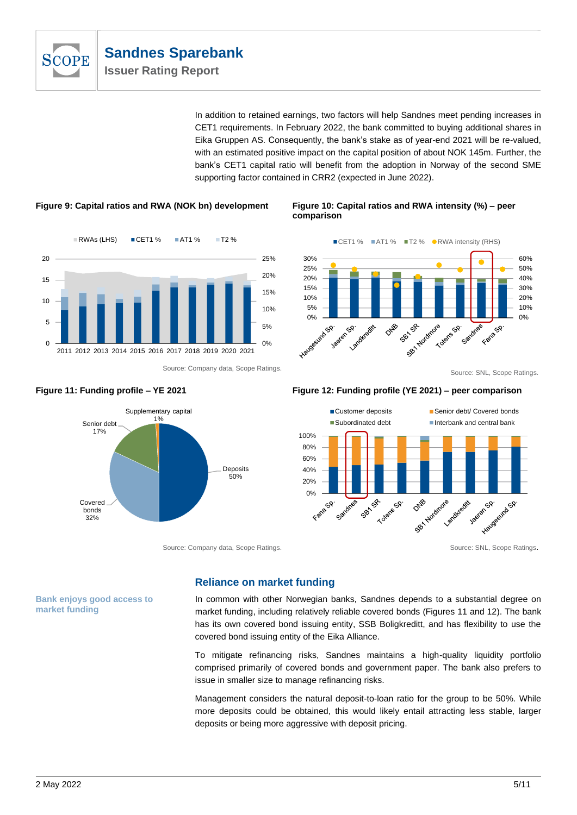

In addition to retained earnings, two factors will help Sandnes meet pending increases in CET1 requirements. In February 2022, the bank committed to buying additional shares in Eika Gruppen AS. Consequently, the bank's stake as of year-end 2021 will be re-valued, with an estimated positive impact on the capital position of about NOK 145m. Further, the bank's CET1 capital ratio will benefit from the adoption in Norway of the second SME supporting factor contained in CRR2 (expected in June 2022).





# **Figure 9: Capital ratios and RWA (NOK bn) development Figure 10: Capital ratios and RWA intensity (%) – peer comparison**



## **Figure 11: Funding profile – YE 2021 Figure 12: Funding profile (YE 2021) – peer comparison**



# **Reliance on market funding**

In common with other Norwegian banks, Sandnes depends to a substantial degree on market funding, including relatively reliable covered bonds (Figures 11 and 12). The bank has its own covered bond issuing entity, SSB Boligkreditt, and has flexibility to use the covered bond issuing entity of the Eika Alliance.

To mitigate refinancing risks, Sandnes maintains a high-quality liquidity portfolio comprised primarily of covered bonds and government paper. The bank also prefers to issue in smaller size to manage refinancing risks.

Management considers the natural deposit-to-loan ratio for the group to be 50%. While more deposits could be obtained, this would likely entail attracting less stable, larger deposits or being more aggressive with deposit pricing.



Source: Company data, Scope Ratings. Source: SNL, Scope Ratings. Source: SNL, Scope Ratings.

**Bank enjoys good access to market funding**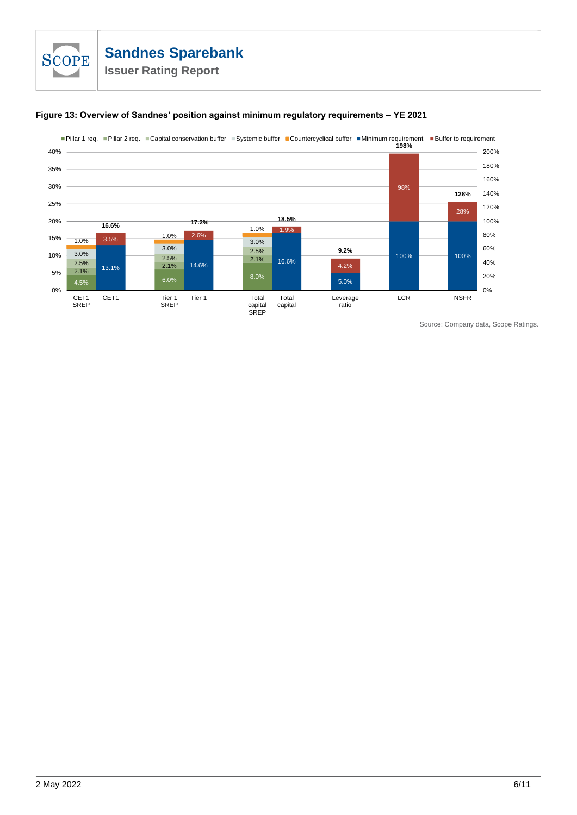



Source: Company data, Scope Ratings.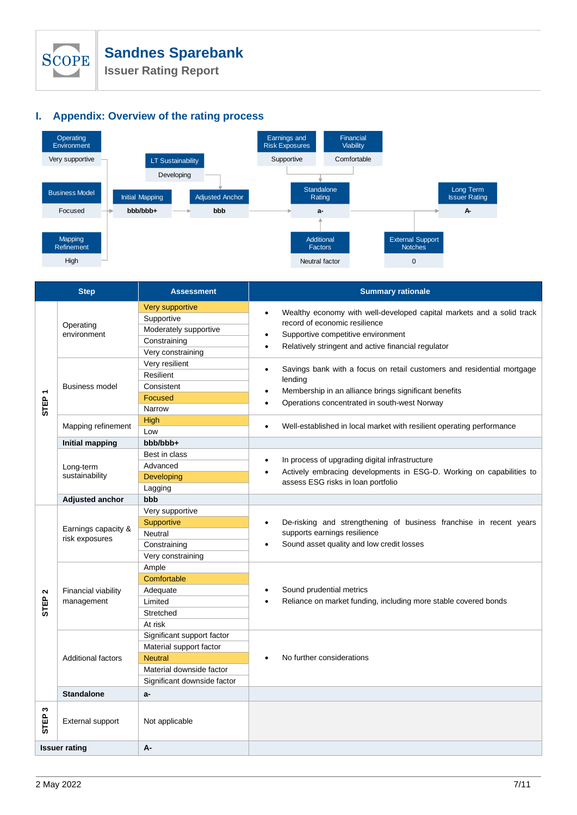

**Issuer Rating Report**

# **I. Appendix: Overview of the rating process**



| <b>Step</b>                      |                                       | <b>Assessment</b>                                                                                                                  | <b>Summary rationale</b>                                                                                                                                                                                              |  |  |  |
|----------------------------------|---------------------------------------|------------------------------------------------------------------------------------------------------------------------------------|-----------------------------------------------------------------------------------------------------------------------------------------------------------------------------------------------------------------------|--|--|--|
| STEP                             | Operating<br>environment              | Very supportive<br>Supportive<br>Moderately supportive<br>Constraining<br>Very constraining                                        | Wealthy economy with well-developed capital markets and a solid track<br>٠<br>record of economic resilience<br>Supportive competitive environment<br>Relatively stringent and active financial regulator<br>$\bullet$ |  |  |  |
|                                  | <b>Business model</b>                 | Very resilient<br>Resilient<br>Consistent<br><b>Focused</b><br>Narrow                                                              | Savings bank with a focus on retail customers and residential mortgage<br>$\bullet$<br>lending<br>Membership in an alliance brings significant benefits<br>Operations concentrated in south-west Norway               |  |  |  |
|                                  | Mapping refinement                    | High<br>Low                                                                                                                        | Well-established in local market with resilient operating performance<br>$\bullet$                                                                                                                                    |  |  |  |
|                                  | <b>Initial mapping</b>                | bbb/bbb+                                                                                                                           |                                                                                                                                                                                                                       |  |  |  |
|                                  | Long-term<br>sustainability           | Best in class<br>Advanced<br>Developing<br>Lagging                                                                                 | In process of upgrading digital infrastructure<br>$\bullet$<br>Actively embracing developments in ESG-D. Working on capabilities to<br>assess ESG risks in loan portfolio                                             |  |  |  |
|                                  | <b>Adjusted anchor</b>                | bbb                                                                                                                                |                                                                                                                                                                                                                       |  |  |  |
| $\mathbf{\Omega}$<br><b>STEP</b> | Earnings capacity &<br>risk exposures | Very supportive<br>Supportive<br>Neutral<br>Constraining<br>Very constraining                                                      | De-risking and strengthening of business franchise in recent years<br>supports earnings resilience<br>Sound asset quality and low credit losses                                                                       |  |  |  |
|                                  | Financial viability<br>management     | Ample<br>Comfortable<br>Adequate<br>Limited<br>Stretched<br>At risk                                                                | Sound prudential metrics<br>Reliance on market funding, including more stable covered bonds                                                                                                                           |  |  |  |
|                                  | <b>Additional factors</b>             | Significant support factor<br>Material support factor<br><b>Neutral</b><br>Material downside factor<br>Significant downside factor | No further considerations                                                                                                                                                                                             |  |  |  |
|                                  | <b>Standalone</b>                     | a-                                                                                                                                 |                                                                                                                                                                                                                       |  |  |  |
| ω<br><b>STEP</b>                 | External support                      | Not applicable                                                                                                                     |                                                                                                                                                                                                                       |  |  |  |
|                                  | <b>Issuer rating</b>                  | A-                                                                                                                                 |                                                                                                                                                                                                                       |  |  |  |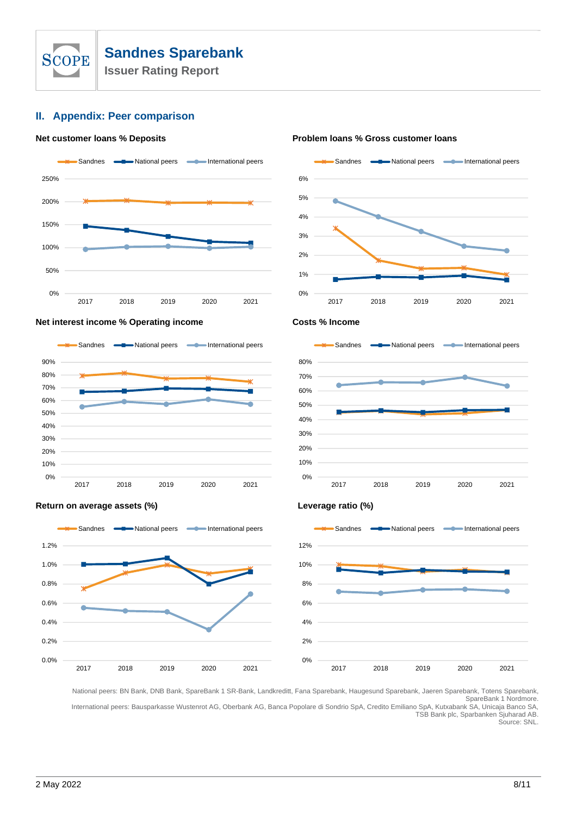

# **II. Appendix: Peer comparison**

#### **Net customer loans % Deposits Problem loans % Gross customer loans**





### **Net interest income % Operating income**  $\blacksquare$  **Costs % Income Costs % Income**





### **Return on average assets (%) Leverage ratio (%)**





National peers: BN Bank, DNB Bank, SpareBank 1 SR-Bank, Landkreditt, Fana Sparebank, Haugesund Sparebank, Jaeren Sparebank, Totens Sparebank, SpareBank 1 Nordmore. International peers: Bausparkasse Wustenrot AG, Oberbank AG, Banca Popolare di Sondrio SpA, Credito Emiliano SpA, Kutxabank SA, Unicaja Banco SA,

TSB Bank plc, Sparbanken Sjuharad AB. Source: SNL.

2 May 2022 8/11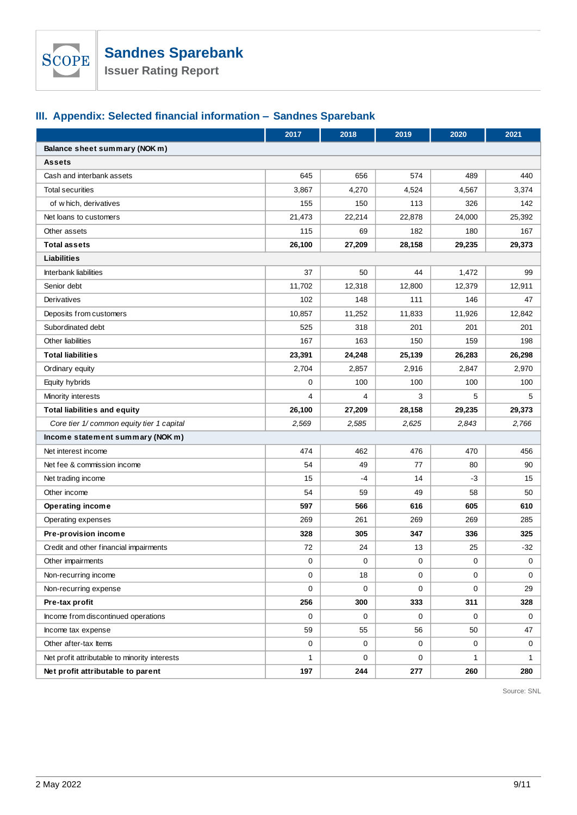

# **III. Appendix: Selected financial information – Sandnes Sparebank**

|                                               | 2017           | 2018        | 2019        | 2020         | 2021         |  |  |  |
|-----------------------------------------------|----------------|-------------|-------------|--------------|--------------|--|--|--|
| Balance sheet summary (NOK m)                 |                |             |             |              |              |  |  |  |
| <b>Assets</b>                                 |                |             |             |              |              |  |  |  |
| Cash and interbank assets                     | 645            | 656         | 574         | 489          | 440          |  |  |  |
| <b>Total securities</b>                       | 3,867          | 4,270       | 4,524       | 4,567        | 3,374        |  |  |  |
| of which, derivatives                         | 155            | 150         | 113         | 326          | 142          |  |  |  |
| Net loans to customers                        | 21,473         | 22,214      | 22,878      | 24,000       | 25,392       |  |  |  |
| Other assets                                  | 115            | 69          | 182         | 180          | 167          |  |  |  |
| <b>Total assets</b>                           | 26,100         | 27,209      | 28,158      | 29,235       | 29,373       |  |  |  |
| Liabilities                                   |                |             |             |              |              |  |  |  |
| Interbank liabilities                         | 37             | 50          | 44          | 1,472        | 99           |  |  |  |
| Senior debt                                   | 11,702         | 12,318      | 12,800      | 12,379       | 12,911       |  |  |  |
| Derivatives                                   | 102            | 148         | 111         | 146          | 47           |  |  |  |
| Deposits from customers                       | 10,857         | 11,252      | 11,833      | 11,926       | 12,842       |  |  |  |
| Subordinated debt                             | 525            | 318         | 201         | 201          | 201          |  |  |  |
| Other liabilities                             | 167            | 163         | 150         | 159          | 198          |  |  |  |
| <b>Total liabilities</b>                      | 23,391         | 24,248      | 25,139      | 26,283       | 26,298       |  |  |  |
| Ordinary equity                               | 2,704          | 2,857       | 2,916       | 2,847        | 2,970        |  |  |  |
| Equity hybrids                                | $\mathbf 0$    | 100         | 100         | 100          | 100          |  |  |  |
| Minority interests                            | $\overline{4}$ | 4           | 3           | 5            | 5            |  |  |  |
| <b>Total liabilities and equity</b>           | 26,100         | 27,209      | 28,158      | 29,235       | 29,373       |  |  |  |
| Core tier 1/ common equity tier 1 capital     | 2,569          | 2,585       | 2,625       | 2,843        | 2,766        |  |  |  |
| Income statement summary (NOK m)              |                |             |             |              |              |  |  |  |
| Net interest income                           | 474            | 462         | 476         | 470          | 456          |  |  |  |
| Net fee & commission income                   | 54             | 49          | 77          | 80           | 90           |  |  |  |
| Net trading income                            | 15             | $-4$        | 14          | $-3$         | 15           |  |  |  |
| Other income                                  | 54             | 59          | 49          | 58           | 50           |  |  |  |
| <b>Operating income</b>                       | 597            | 566         | 616         | 605          | 610          |  |  |  |
| Operating expenses                            | 269            | 261         | 269         | 269          | 285          |  |  |  |
| Pre-provision income                          | 328            | 305         | 347         | 336          | 325          |  |  |  |
| Credit and other financial impairments        | 72             | 24          | 13          | 25           | $-32$        |  |  |  |
| Other impairments                             | 0              | $\mathbf 0$ | 0           | 0            | $\mathbf{0}$ |  |  |  |
| Non-recurring income                          | $\mathbf 0$    | 18          | $\mathbf 0$ | $\mathbf{0}$ | 0            |  |  |  |
| Non-recurring expense                         | $\mathbf 0$    | $\mathbf 0$ | 0           | 0            | 29           |  |  |  |
| Pre-tax profit                                | 256            | 300         | 333         | 311          | 328          |  |  |  |
| Income from discontinued operations           | $\mathbf 0$    | $\mathbf 0$ | 0           | 0            | 0            |  |  |  |
| Income tax expense                            | 59             | 55          | 56          | 50           | 47           |  |  |  |
| Other after-tax Items                         | 0              | 0           | 0           | 0            | 0            |  |  |  |
| Net profit attributable to minority interests | $\mathbf{1}$   | $\mathbf 0$ | 0           | $\mathbf{1}$ | $\mathbf{1}$ |  |  |  |
| Net profit attributable to parent             | 197            | 244         | 277         | 260          | 280          |  |  |  |

Source: SNL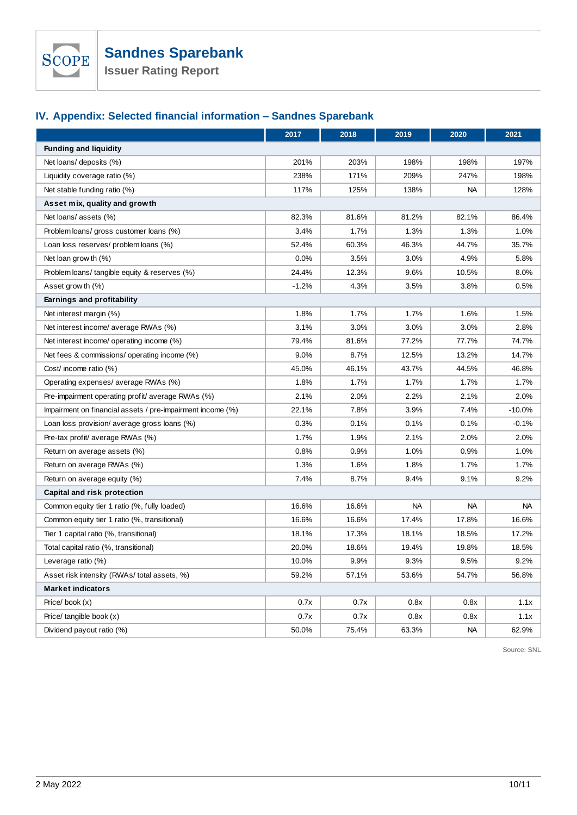

**Issuer Rating Report**

# **IV. Appendix: Selected financial information – Sandnes Sparebank**

|                                                            | 2017    | 2018  | 2019      | 2020      | 2021     |  |
|------------------------------------------------------------|---------|-------|-----------|-----------|----------|--|
| <b>Funding and liquidity</b>                               |         |       |           |           |          |  |
| Net loans/ deposits (%)                                    | 201%    | 203%  | 198%      | 198%      | 197%     |  |
| Liquidity coverage ratio (%)                               | 238%    | 171%  | 209%      | 247%      | 198%     |  |
| Net stable funding ratio (%)                               | 117%    | 125%  | 138%      | <b>NA</b> | 128%     |  |
| Asset mix, quality and growth                              |         |       |           |           |          |  |
| Net loans/ assets (%)                                      | 82.3%   | 81.6% | 81.2%     | 82.1%     | 86.4%    |  |
| Problem loans/ gross customer loans (%)                    | 3.4%    | 1.7%  | 1.3%      | 1.3%      | 1.0%     |  |
| Loan loss reserves/ problem loans (%)                      | 52.4%   | 60.3% | 46.3%     | 44.7%     | 35.7%    |  |
| Net loan grow th (%)                                       | 0.0%    | 3.5%  | 3.0%      | 4.9%      | 5.8%     |  |
| Problem loans/ tangible equity & reserves (%)              | 24.4%   | 12.3% | 9.6%      | 10.5%     | 8.0%     |  |
| Asset grow th (%)                                          | $-1.2%$ | 4.3%  | 3.5%      | 3.8%      | 0.5%     |  |
| Earnings and profitability                                 |         |       |           |           |          |  |
| Net interest margin (%)                                    | 1.8%    | 1.7%  | 1.7%      | 1.6%      | 1.5%     |  |
| Net interest income/ average RWAs (%)                      | 3.1%    | 3.0%  | 3.0%      | 3.0%      | 2.8%     |  |
| Net interest income/ operating income (%)                  | 79.4%   | 81.6% | 77.2%     | 77.7%     | 74.7%    |  |
| Net fees & commissions/ operating income (%)               | 9.0%    | 8.7%  | 12.5%     | 13.2%     | 14.7%    |  |
| Cost/ income ratio (%)                                     | 45.0%   | 46.1% | 43.7%     | 44.5%     | 46.8%    |  |
| Operating expenses/ average RWAs (%)                       | 1.8%    | 1.7%  | 1.7%      | 1.7%      | 1.7%     |  |
| Pre-impairment operating profit/average RWAs (%)           | 2.1%    | 2.0%  | 2.2%      | 2.1%      | 2.0%     |  |
| Impairment on financial assets / pre-impairment income (%) | 22.1%   | 7.8%  | 3.9%      | 7.4%      | $-10.0%$ |  |
| Loan loss provision/ average gross loans (%)               | 0.3%    | 0.1%  | 0.1%      | 0.1%      | $-0.1%$  |  |
| Pre-tax profit/ average RWAs (%)                           | 1.7%    | 1.9%  | 2.1%      | 2.0%      | 2.0%     |  |
| Return on average assets (%)                               | 0.8%    | 0.9%  | 1.0%      | 0.9%      | 1.0%     |  |
| Return on average RWAs (%)                                 | 1.3%    | 1.6%  | 1.8%      | 1.7%      | 1.7%     |  |
| Return on average equity (%)                               | 7.4%    | 8.7%  | 9.4%      | 9.1%      | 9.2%     |  |
| Capital and risk protection                                |         |       |           |           |          |  |
| Common equity tier 1 ratio (%, fully loaded)               | 16.6%   | 16.6% | <b>NA</b> | NA        | NA.      |  |
| Common equity tier 1 ratio (%, transitional)               | 16.6%   | 16.6% | 17.4%     | 17.8%     | 16.6%    |  |
| Tier 1 capital ratio (%, transitional)                     | 18.1%   | 17.3% | 18.1%     | 18.5%     | 17.2%    |  |
| Total capital ratio (%, transitional)                      | 20.0%   | 18.6% | 19.4%     | 19.8%     | 18.5%    |  |
| Leverage ratio (%)                                         | 10.0%   | 9.9%  | 9.3%      | 9.5%      | 9.2%     |  |
| Asset risk intensity (RWAs/total assets, %)                | 59.2%   | 57.1% | 53.6%     | 54.7%     | 56.8%    |  |
| <b>Market indicators</b>                                   |         |       |           |           |          |  |
| Price/book $(x)$                                           | 0.7x    | 0.7x  | 0.8x      | 0.8x      | 1.1x     |  |
| Price/ tangible book (x)                                   | 0.7x    | 0.7x  | 0.8x      | 0.8x      | 1.1x     |  |
| Dividend payout ratio (%)                                  | 50.0%   | 75.4% | 63.3%     | NA.       | 62.9%    |  |

Source: SNL